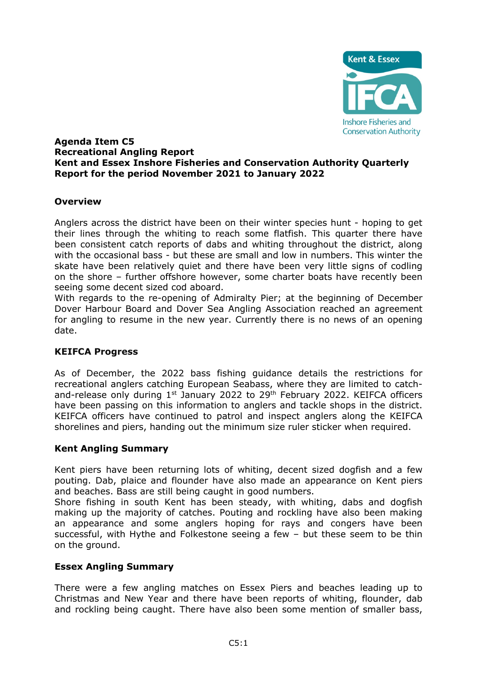

# **Agenda Item C5 Recreational Angling Report Kent and Essex Inshore Fisheries and Conservation Authority Quarterly Report for the period November 2021 to January 2022**

### **Overview**

Anglers across the district have been on their winter species hunt - hoping to get their lines through the whiting to reach some flatfish. This quarter there have been consistent catch reports of dabs and whiting throughout the district, along with the occasional bass - but these are small and low in numbers. This winter the skate have been relatively quiet and there have been very little signs of codling on the shore – further offshore however, some charter boats have recently been seeing some decent sized cod aboard.

With regards to the re-opening of Admiralty Pier; at the beginning of December Dover Harbour Board and Dover Sea Angling Association reached an agreement for angling to resume in the new year. Currently there is no news of an opening date.

#### **KEIFCA Progress**

As of December, the 2022 bass fishing guidance details the restrictions for recreational anglers catching European Seabass, where they are limited to catchand-release only during  $1<sup>st</sup>$  January 2022 to 29<sup>th</sup> February 2022. KEIFCA officers have been passing on this information to anglers and tackle shops in the district. KEIFCA officers have continued to patrol and inspect anglers along the KEIFCA shorelines and piers, handing out the minimum size ruler sticker when required.

# **Kent Angling Summary**

Kent piers have been returning lots of whiting, decent sized dogfish and a few pouting. Dab, plaice and flounder have also made an appearance on Kent piers and beaches. Bass are still being caught in good numbers.

Shore fishing in south Kent has been steady, with whiting, dabs and dogfish making up the majority of catches. Pouting and rockling have also been making an appearance and some anglers hoping for rays and congers have been successful, with Hythe and Folkestone seeing a few – but these seem to be thin on the ground.

# **Essex Angling Summary**

There were a few angling matches on Essex Piers and beaches leading up to Christmas and New Year and there have been reports of whiting, flounder, dab and rockling being caught. There have also been some mention of smaller bass,